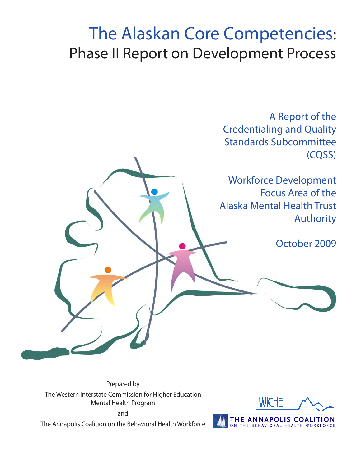# The Alaskan Core Competencies: Phase II Report on Development Process

A Report of the Credentialing and Quality Standards Subcommittee (CQSS)

Workforce Development Focus Area of the Alaska Mental Health Trust Authority

October 2009

Prepared by The Western Interstate Commission for Higher Education Mental Health Program and

The Annapolis Coalition on the Behavioral Health Workforce

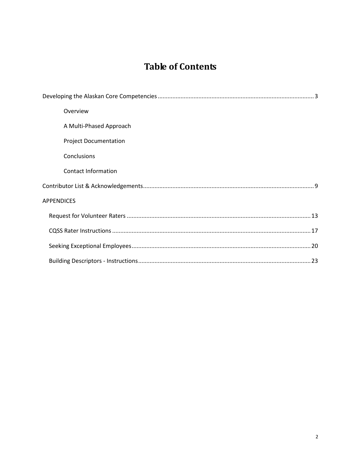## **Table of Contents**

| Overview                     |
|------------------------------|
| A Multi-Phased Approach      |
| <b>Project Documentation</b> |
| Conclusions                  |
| Contact Information          |
|                              |
| <b>APPENDICES</b>            |
|                              |
|                              |
|                              |
|                              |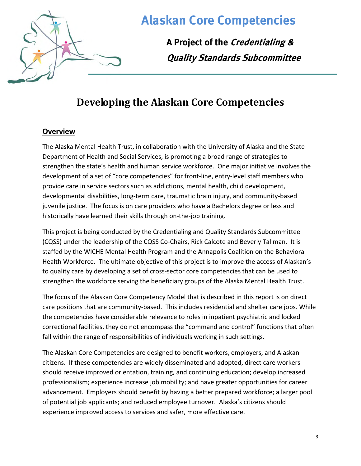

**A Project of the Credentialing & Quality Standards Subcommittee**

## **Developing the Alaskan Core Competencies**

#### <span id="page-3-0"></span>**Overview**

The Alaska Mental Health Trust, in collaboration with the University of Alaska and the State Department of Health and Social Services, is promoting a broad range of strategies to strengthen the state's health and human service workforce. One major initiative involves the development of a set of "core competencies" for front-line, entry-level staff members who provide care in service sectors such as addictions, mental health, child development, developmental disabilities, long-term care, traumatic brain injury, and community-based juvenile justice. The focus is on care providers who have a Bachelors degree or less and historically have learned their skills through on-the-job training.

This project is being conducted by the Credentialing and Quality Standards Subcommittee (CQSS) under the leadership of the CQSS Co-Chairs, Rick Calcote and Beverly Tallman. It is staffed by the WICHE Mental Health Program and the Annapolis Coalition on the Behavioral Health Workforce. The ultimate objective of this project is to improve the access of Alaskan's to quality care by developing a set of cross-sector core competencies that can be used to strengthen the workforce serving the beneficiary groups of the Alaska Mental Health Trust.

The focus of the Alaskan Core Competency Model that is described in this report is on direct care positions that are community-based. This includes residential and shelter care jobs. While the competencies have considerable relevance to roles in inpatient psychiatric and locked correctional facilities, they do not encompass the "command and control" functions that often fall within the range of responsibilities of individuals working in such settings.

The Alaskan Core Competencies are designed to benefit workers, employers, and Alaskan citizens. If these competencies are widely disseminated and adopted, direct care workers should receive improved orientation, training, and continuing education; develop increased professionalism; experience increase job mobility; and have greater opportunities for career advancement. Employers should benefit by having a better prepared workforce; a larger pool of potential job applicants; and reduced employee turnover. Alaska's citizens should experience improved access to services and safer, more effective care.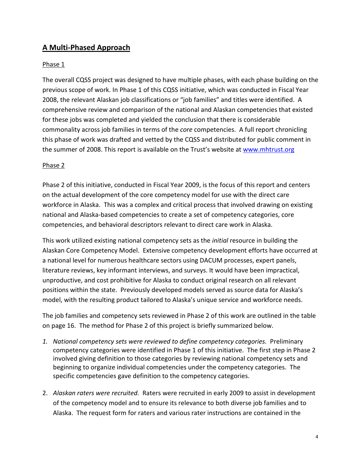#### **A Multi-Phased Approach**

#### Phase 1

The overall CQSS project was designed to have multiple phases, with each phase building on the previous scope of work. In Phase 1 of this CQSS initiative, which was conducted in Fiscal Year 2008, the relevant Alaskan job classifications or "job families" and titles were identified. A comprehensive review and comparison of the national and Alaskan competencies that existed for these jobs was completed and yielded the conclusion that there is considerable commonality across job families in terms of the *core* competencies. A full report chronicling this phase of work was drafted and vetted by the CQSS and distributed for public comment in the summer of 2008. This report is available on the Trust's website at [www.mhtrust.org](http://www.mhtrust.org/)

#### Phase 2

Phase 2 of this initiative, conducted in Fiscal Year 2009, is the focus of this report and centers on the actual development of the core competency model for use with the direct care workforce in Alaska. This was a complex and critical process that involved drawing on existing national and Alaska-based competencies to create a set of competency categories, core competencies, and behavioral descriptors relevant to direct care work in Alaska.

This work utilized existing national competency sets as the *initial* resource in building the Alaskan Core Competency Model. Extensive competency development efforts have occurred at a national level for numerous healthcare sectors using DACUM processes, expert panels, literature reviews, key informant interviews, and surveys. It would have been impractical, unproductive, and cost prohibitive for Alaska to conduct original research on all relevant positions within the state. Previously developed models served as source data for Alaska's model, with the resulting product tailored to Alaska's unique service and workforce needs.

The job families and competency sets reviewed in Phase 2 of this work are outlined in the table on page 16. The method for Phase 2 of this project is briefly summarized below.

- *1. National competency sets were reviewed to define competency categories.* Preliminary competency categories were identified in Phase 1 of this initiative. The first step in Phase 2 involved giving definition to those categories by reviewing national competency sets and beginning to organize individual competencies under the competency categories. The specific competencies gave definition to the competency categories.
- 2. *Alaskan raters were recruited.* Raters were recruited in early 2009 to assist in development of the competency model and to ensure its relevance to both diverse job families and to Alaska. The request form for raters and various rater instructions are contained in the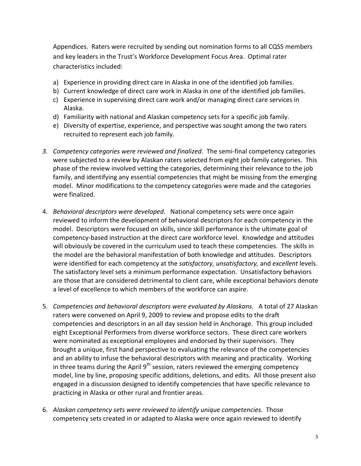Appendices. Raters were recruited by sending out nomination forms to all CQSS members and key leaders in the Trust's Workforce Development Focus Area. Optimal rater characteristics included:

- a) Experience in providing direct care in Alaska in one of the identified job families.
- b) Current knowledge of direct care work in Alaska in one of the identified job families.
- c) Experience in supervising direct care work and/or managing direct care services in Alaska.
- d) Familiarity with national and Alaskan competency sets for a specific job family.
- e) Diversity of expertise, experience, and perspective was sought among the two raters recruited to represent each job family.
- *3. Competency categories were reviewed and finalized*. The semi-final competency categories were subjected to a review by Alaskan raters selected from eight job family categories. This phase of the review involved vetting the categories, determining their relevance to the job family, and identifying any essential competencies that might be missing from the emerging model. Minor modifications to the competency categories were made and the categories were finalized.
- 4. *Behavioral descriptors were developed.* National competency sets were once again reviewed to inform the development of behavioral descriptors for each competency in the model. Descriptors were focused on skills, since skill performance is the ultimate goal of competency-based instruction at the direct care workforce level. Knowledge and attitudes will obviously be covered in the curriculum used to teach these competencies. The skills in the model are the behavioral manifestation of both knowledge and attitudes. Descriptors were identified for each competency at the *satisfactory, unsatisfactory,* and *excellent* levels. The satisfactory level sets a minimum performance expectation. Unsatisfactory behaviors are those that are considered detrimental to client care, while exceptional behaviors denote a level of excellence to which members of the workforce can aspire.
- 5. *Competencies and behavioral descriptors were evaluated by Alaskans.* A total of 27 Alaskan raters were convened on April 9, 2009 to review and propose edits to the draft competencies and descriptors in an all day session held in Anchorage. This group included eight Exceptional Performers from diverse workforce sectors. These direct care workers were nominated as exceptional employees and endorsed by their supervisors. They brought a unique, first hand perspective to evaluating the relevance of the competencies and an ability to infuse the behavioral descriptors with meaning and practicality. Working in three teams during the April  $9<sup>th</sup>$  session, raters reviewed the emerging competency model, line by line, proposing specific additions, deletions, and edits. All those present also engaged in a discussion designed to identify competencies that have specific relevance to practicing in Alaska or other rural and frontier areas.
- 6. *Alaskan competency sets were reviewed to identify unique competencies.* Those competency sets created in or adapted to Alaska were once again reviewed to identify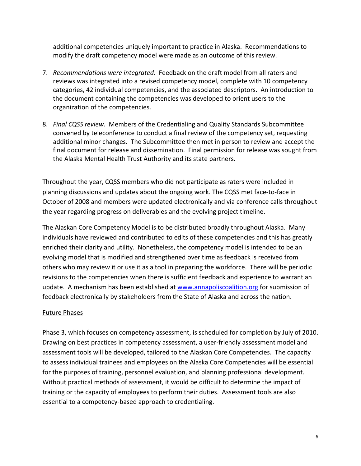additional competencies uniquely important to practice in Alaska. Recommendations to modify the draft competency model were made as an outcome of this review.

- 7. *Recommendations were integrated*. Feedback on the draft model from all raters and reviews was integrated into a revised competency model, complete with 10 competency categories, 42 individual competencies, and the associated descriptors. An introduction to the document containing the competencies was developed to orient users to the organization of the competencies.
- 8. *Final CQSS review.* Members of the Credentialing and Quality Standards Subcommittee convened by teleconference to conduct a final review of the competency set, requesting additional minor changes. The Subcommittee then met in person to review and accept the final document for release and dissemination. Final permission for release was sought from the Alaska Mental Health Trust Authority and its state partners.

Throughout the year, CQSS members who did not participate as raters were included in planning discussions and updates about the ongoing work. The CQSS met face-to-face in October of 2008 and members were updated electronically and via conference calls throughout the year regarding progress on deliverables and the evolving project timeline.

The Alaskan Core Competency Model is to be distributed broadly throughout Alaska. Many individuals have reviewed and contributed to edits of these competencies and this has greatly enriched their clarity and utility. Nonetheless, the competency model is intended to be an evolving model that is modified and strengthened over time as feedback is received from others who may review it or use it as a tool in preparing the workforce. There will be periodic revisions to the competencies when there is sufficient feedback and experience to warrant an update. A mechanism has been established at [www.annapoliscoalition.org](http://www.annapoliscoalition.org/) for submission of feedback electronically by stakeholders from the State of Alaska and across the nation.

#### Future Phases

Phase 3, which focuses on competency assessment, is scheduled for completion by July of 2010. Drawing on best practices in competency assessment, a user-friendly assessment model and assessment tools will be developed, tailored to the Alaskan Core Competencies. The capacity to assess individual trainees and employees on the Alaska Core Competencies will be essential for the purposes of training, personnel evaluation, and planning professional development. Without practical methods of assessment, it would be difficult to determine the impact of training or the capacity of employees to perform their duties. Assessment tools are also essential to a competency-based approach to credentialing.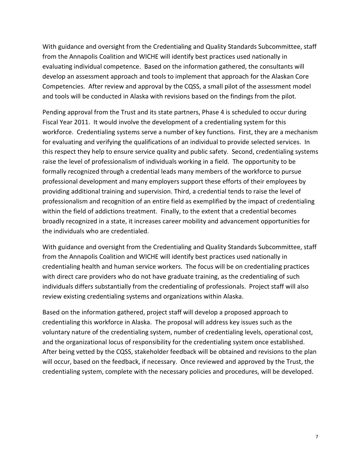With guidance and oversight from the Credentialing and Quality Standards Subcommittee, staff from the Annapolis Coalition and WICHE will identify best practices used nationally in evaluating individual competence. Based on the information gathered, the consultants will develop an assessment approach and tools to implement that approach for the Alaskan Core Competencies. After review and approval by the CQSS, a small pilot of the assessment model and tools will be conducted in Alaska with revisions based on the findings from the pilot.

Pending approval from the Trust and its state partners, Phase 4 is scheduled to occur during Fiscal Year 2011. It would involve the development of a credentialing system for this workforce. Credentialing systems serve a number of key functions. First, they are a mechanism for evaluating and verifying the qualifications of an individual to provide selected services. In this respect they help to ensure service quality and public safety. Second, credentialing systems raise the level of professionalism of individuals working in a field. The opportunity to be formally recognized through a credential leads many members of the workforce to pursue professional development and many employers support these efforts of their employees by providing additional training and supervision. Third, a credential tends to raise the level of professionalism and recognition of an entire field as exemplified by the impact of credentialing within the field of addictions treatment. Finally, to the extent that a credential becomes broadly recognized in a state, it increases career mobility and advancement opportunities for the individuals who are credentialed.

With guidance and oversight from the Credentialing and Quality Standards Subcommittee, staff from the Annapolis Coalition and WICHE will identify best practices used nationally in credentialing health and human service workers. The focus will be on credentialing practices with direct care providers who do not have graduate training, as the credentialing of such individuals differs substantially from the credentialing of professionals. Project staff will also review existing credentialing systems and organizations within Alaska.

Based on the information gathered, project staff will develop a proposed approach to credentialing this workforce in Alaska. The proposal will address key issues such as the voluntary nature of the credentialing system, number of credentialing levels, operational cost, and the organizational locus of responsibility for the credentialing system once established. After being vetted by the CQSS, stakeholder feedback will be obtained and revisions to the plan will occur, based on the feedback, if necessary. Once reviewed and approved by the Trust, the credentialing system, complete with the necessary policies and procedures, will be developed.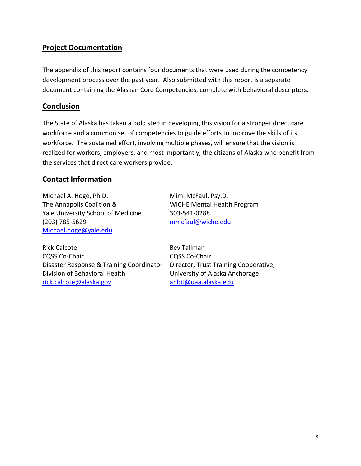#### **Project Documentation**

The appendix of this report contains four documents that were used during the competency development process over the past year. Also submitted with this report is a separate document containing the Alaskan Core Competencies, complete with behavioral descriptors.

#### **Conclusion**

The State of Alaska has taken a bold step in developing this vision for a stronger direct care workforce and a common set of competencies to guide efforts to improve the skills of its workforce. The sustained effort, involving multiple phases, will ensure that the vision is realized for workers, employers, and most importantly, the citizens of Alaska who benefit from the services that direct care workers provide.

#### **Contact Information**

Michael A. Hoge, Ph.D. Mimi McFaul, Psy.D. The Annapolis Coalition & WICHE Mental Health Program Yale University School of Medicine 303-541-0288 (203) 785-5629 [mmcfaul@wiche.edu](mailto:mmcfaul@wiche.edu)  [Michael.hoge@yale.edu](mailto:Michael.hoge@yale.edu)

Rick Calcote **Bev Tallman** CQSS Co-Chair CQSS Co-Chair Disaster Response & Training Coordinator Director, Trust Training Cooperative, Division of Behavioral Health University of Alaska Anchorage [rick.calcote@alaska.gov](mailto:rick.calcote@alaska.gov) [anbit@uaa.alaska.edu](mailto:anbit@uaa.alaska.edu)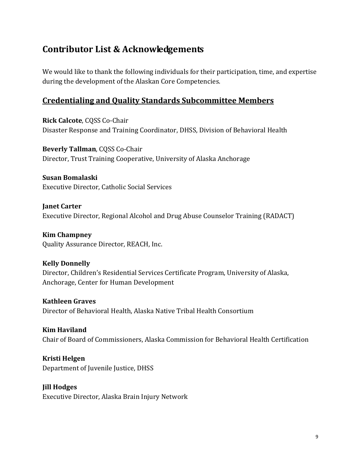### <span id="page-9-0"></span>**Contributor List & Acknowledgements**

We would like to thank the following individuals for their participation, time, and expertise during the development of the Alaskan Core Competencies.

#### **Credentialing and Quality Standards Subcommittee Members**

**Rick Calcote**, CQSS Co-Chair Disaster Response and Training Coordinator, DHSS, Division of Behavioral Health

**Beverly Tallman**, CQSS Co-Chair Director, Trust Training Cooperative, University of Alaska Anchorage

**Susan Bomalaski** Executive Director, Catholic Social Services

**Janet Carter** Executive Director, Regional Alcohol and Drug Abuse Counselor Training (RADACT)

**Kim Champney** Quality Assurance Director, REACH, Inc.

#### **Kelly Donnelly**

Director, Children's Residential Services Certificate Program, University of Alaska, Anchorage, Center for Human Development

**Kathleen Graves** Director of Behavioral Health, Alaska Native Tribal Health Consortium

**Kim Haviland** Chair of Board of Commissioners, Alaska Commission for Behavioral Health Certification

**Kristi Helgen** Department of Juvenile Justice, DHSS

**Jill Hodges**

Executive Director, Alaska Brain Injury Network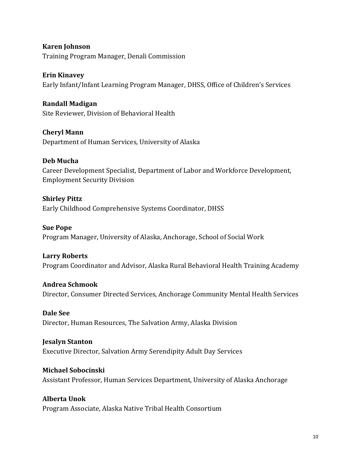**Karen Johnson** Training Program Manager, Denali Commission

**Erin Kinavey** Early Infant/Infant Learning Program Manager, DHSS, Office of Children's Services

**Randall Madigan** Site Reviewer, Division of Behavioral Health

**Cheryl Mann** Department of Human Services, University of Alaska

**Deb Mucha** Career Development Specialist, Department of Labor and Workforce Development, Employment Security Division

**Shirley Pittz** Early Childhood Comprehensive Systems Coordinator, DHSS

**Sue Pope** Program Manager, University of Alaska, Anchorage, School of Social Work

**Larry Roberts** Program Coordinator and Advisor, Alaska Rural Behavioral Health Training Academy

**Andrea Schmook** Director, Consumer Directed Services, Anchorage Community Mental Health Services

**Dale See** Director, Human Resources, The Salvation Army, Alaska Division

**Jesalyn Stanton** Executive Director, Salvation Army Serendipity Adult Day Services

**Michael Sobocinski** Assistant Professor, Human Services Department, University of Alaska Anchorage

**Alberta Unok** Program Associate, Alaska Native Tribal Health Consortium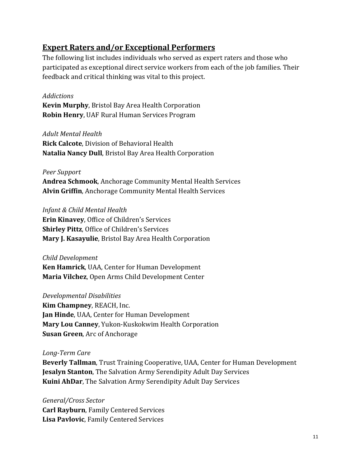#### **Expert Raters and/or Exceptional Performers**

The following list includes individuals who served as expert raters and those who participated as exceptional direct service workers from each of the job families. Their feedback and critical thinking was vital to this project.

#### *Addictions*

**Kevin Murphy**, Bristol Bay Area Health Corporation **Robin Henry**, UAF Rural Human Services Program

#### *Adult Mental Health*

**Rick Calcote**, Division of Behavioral Health **Natalia Nancy Dull**, Bristol Bay Area Health Corporation

#### *Peer Support*

**Andrea Schmook**, Anchorage Community Mental Health Services **Alvin Griffin**, Anchorage Community Mental Health Services

#### *Infant & Child Mental Health*

**Erin Kinavey**, Office of Children's Services **Shirley Pittz**, Office of Children's Services **Mary J. Kasayulie**, Bristol Bay Area Health Corporation

#### *Child Development*

**Ken Hamrick**, UAA, Center for Human Development **Maria Vilchez**, Open Arms Child Development Center

#### *Developmental Disabilities*

**Kim Champney**, REACH, Inc. **Jan Hinde**, UAA, Center for Human Development **Mary Lou Canney**, Yukon-Kuskokwim Health Corporation **Susan Green**, Arc of Anchorage

#### *Long-Term Care*

**Beverly Tallman**, Trust Training Cooperative, UAA, Center for Human Development **Jesalyn Stanton**, The Salvation Army Serendipity Adult Day Services **Kuini AhDar**, The Salvation Army Serendipity Adult Day Services

#### *General/Cross Sector* **Carl Rayburn**, Family Centered Services **Lisa Pavlovic**, Family Centered Services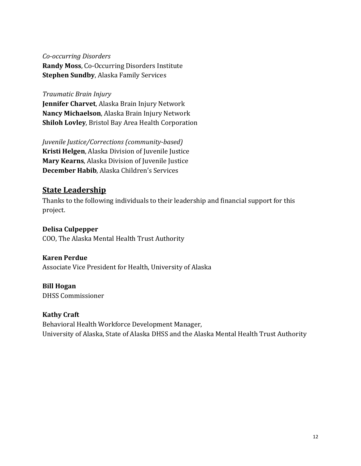#### *Co-occurring Disorders*

**Randy Moss**, Co-Occurring Disorders Institute **Stephen Sundby**, Alaska Family Services

#### *Traumatic Brain Injury*

**Jennifer Charvet**, Alaska Brain Injury Network **Nancy Michaelson**, Alaska Brain Injury Network **Shiloh Lovley**, Bristol Bay Area Health Corporation

*Juvenile Justice/Corrections (community-based)* **Kristi Helgen**, Alaska Division of Juvenile Justice **Mary Kearns**, Alaska Division of Juvenile Justice **December Habib**, Alaska Children's Services

#### **State Leadership**

Thanks to the following individuals to their leadership and financial support for this project.

#### **Delisa Culpepper**

COO, The Alaska Mental Health Trust Authority

#### **Karen Perdue**

Associate Vice President for Health, University of Alaska

#### **Bill Hogan**

DHSS Commissioner

#### **Kathy Craft**

Behavioral Health Workforce Development Manager, University of Alaska, State of Alaska DHSS and the Alaska Mental Health Trust Authority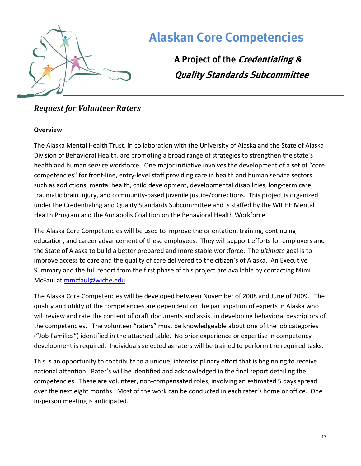

**A Project of the Credentialing & Quality Standards Subcommittee**

### <span id="page-13-0"></span>*Request for Volunteer Raters*

#### **Overview**

The Alaska Mental Health Trust, in collaboration with the University of Alaska and the State of Alaska Division of Behavioral Health, are promoting a broad range of strategies to strengthen the state's health and human service workforce. One major initiative involves the development of a set of "core competencies" for front-line, entry-level staff providing care in health and human service sectors such as addictions, mental health, child development, developmental disabilities, long-term care, traumatic brain injury, and community-based juvenile justice/corrections. This project is organized under the Credentialing and Quality Standards Subcommittee and is staffed by the WICHE Mental Health Program and the Annapolis Coalition on the Behavioral Health Workforce.

The Alaska Core Competencies will be used to improve the orientation, training, continuing education, and career advancement of these employees. They will support efforts for employers and the State of Alaska to build a better prepared and more stable workforce. The *ultimate* goal is to improve access to care and the quality of care delivered to the citizen's of Alaska. An Executive Summary and the full report from the first phase of this project are available by contacting Mimi McFaul at [mmcfaul@wiche.edu.](mailto:mmcfaul@wiche.edu)

The Alaska Core Competencies will be developed between November of 2008 and June of 2009. The quality and utility of the competencies are dependent on the participation of experts in Alaska who will review and rate the content of draft documents and assist in developing behavioral descriptors of the competencies. The volunteer "raters" must be knowledgeable about one of the job categories ("Job Families") identified in the attached table. No prior experience or expertise in competency development is required. Individuals selected as raters will be trained to perform the required tasks.

This is an opportunity to contribute to a unique, interdisciplinary effort that is beginning to receive national attention. Rater's will be identified and acknowledged in the final report detailing the competencies. These are volunteer, non-compensated roles, involving an estimated 5 days spread over the next eight months. Most of the work can be conducted in each rater's home or office. One in-person meeting is anticipated.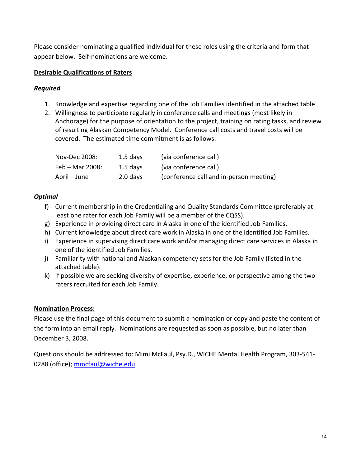Please consider nominating a qualified individual for these roles using the criteria and form that appear below. Self-nominations are welcome.

#### **Desirable Qualifications of Raters**

#### *Required*

- 1. Knowledge and expertise regarding one of the Job Families identified in the attached table.
- 2. Willingness to participate regularly in conference calls and meetings (most likely in Anchorage) for the purpose of orientation to the project, training on rating tasks, and review of resulting Alaskan Competency Model. Conference call costs and travel costs will be covered. The estimated time commitment is as follows:

| Nov-Dec 2008:   | $1.5$ days | (via conference call)                   |
|-----------------|------------|-----------------------------------------|
| Feb - Mar 2008: | $1.5$ days | (via conference call)                   |
| April – June    | 2.0 days   | (conference call and in-person meeting) |

#### *Optimal*

- f) Current membership in the Credentialing and Quality Standards Committee (preferably at least one rater for each Job Family will be a member of the CQSS).
- g) Experience in providing direct care in Alaska in one of the identified Job Families.
- h) Current knowledge about direct care work in Alaska in one of the identified Job Families.
- i) Experience in supervising direct care work and/or managing direct care services in Alaska in one of the identified Job Families.
- j) Familiarity with national and Alaskan competency sets for the Job Family (listed in the attached table).
- k) If possible we are seeking diversity of expertise, experience, or perspective among the two raters recruited for each Job Family.

#### **Nomination Process:**

Please use the final page of this document to submit a nomination or copy and paste the content of the form into an email reply. Nominations are requested as soon as possible, but no later than December 3, 2008.

Questions should be addressed to: Mimi McFaul, Psy.D., WICHE Mental Health Program, 303-541- 0288 (office); [mmcfaul@wiche.edu](mailto:mmcfaul@wiche.edu)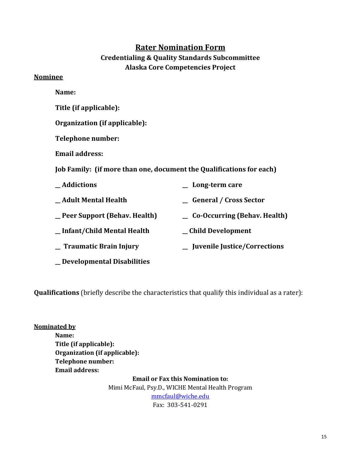#### **Rater Nomination Form**

#### **Credentialing & Quality Standards Subcommittee Alaska Core Competencies Project**

#### **Nominee**

- **Name:**
- **Title (if applicable):**
- **Organization (if applicable):**
- **Telephone number:**
- **Email address:**
- **Job Family: (if more than one, document the Qualifications for each)**

| _Addictions                    | Long-term care                 |
|--------------------------------|--------------------------------|
| _Adult Mental Health           | <b>General / Cross Sector</b>  |
| _ Peer Support (Behav. Health) | _ Co-Occurring (Behav. Health) |
| _Infant/Child Mental Health    | _Child Development             |
| <b>Traumatic Brain Injury</b>  | _ Juvenile Justice/Corrections |
|                                |                                |

- **\_\_ Developmental Disabilities**
- **Qualifications** (briefly describe the characteristics that qualify this individual as a rater):

**Nominated by Name: Title (if applicable): Organization (if applicable): Telephone number: Email address: Email or Fax this Nomination to:**

Mimi McFaul, Psy.D., WICHE Mental Health Program [mmcfaul@wiche.edu](mailto:mmcfaul@wiche.edu) Fax: 303-541-0291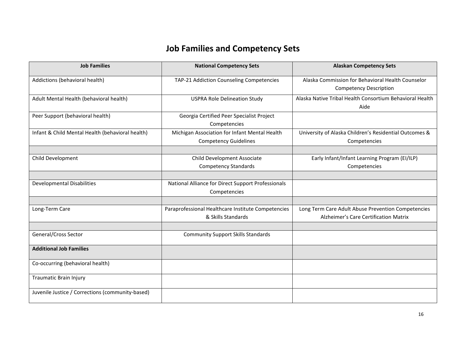### **Job Families and Competency Sets**

| <b>Job Families</b>                              | <b>National Competency Sets</b>                    | <b>Alaskan Competency Sets</b>                           |
|--------------------------------------------------|----------------------------------------------------|----------------------------------------------------------|
| Addictions (behavioral health)                   | TAP-21 Addiction Counseling Competencies           | Alaska Commission for Behavioral Health Counselor        |
|                                                  |                                                    | <b>Competency Description</b>                            |
| Adult Mental Health (behavioral health)          | <b>USPRA Role Delineation Study</b>                | Alaska Native Tribal Health Consortium Behavioral Health |
|                                                  |                                                    | Aide                                                     |
| Peer Support (behavioral health)                 | Georgia Certified Peer Specialist Project          |                                                          |
|                                                  | Competencies                                       |                                                          |
| Infant & Child Mental Health (behavioral health) | Michigan Association for Infant Mental Health      | University of Alaska Children's Residential Outcomes &   |
|                                                  | <b>Competency Guidelines</b>                       | Competencies                                             |
|                                                  |                                                    |                                                          |
| Child Development                                | Child Development Associate                        | Early Infant/Infant Learning Program (EI/ILP)            |
|                                                  | <b>Competency Standards</b>                        | Competencies                                             |
|                                                  |                                                    |                                                          |
| <b>Developmental Disabilities</b>                | National Alliance for Direct Support Professionals |                                                          |
|                                                  | Competencies                                       |                                                          |
|                                                  |                                                    |                                                          |
| Long-Term Care                                   | Paraprofessional Healthcare Institute Competencies | Long Term Care Adult Abuse Prevention Competencies       |
|                                                  | & Skills Standards                                 | Alzheimer's Care Certification Matrix                    |
|                                                  |                                                    |                                                          |
| General/Cross Sector                             | <b>Community Support Skills Standards</b>          |                                                          |
| <b>Additional Job Families</b>                   |                                                    |                                                          |
| Co-occurring (behavioral health)                 |                                                    |                                                          |
| <b>Traumatic Brain Injury</b>                    |                                                    |                                                          |
| Juvenile Justice / Corrections (community-based) |                                                    |                                                          |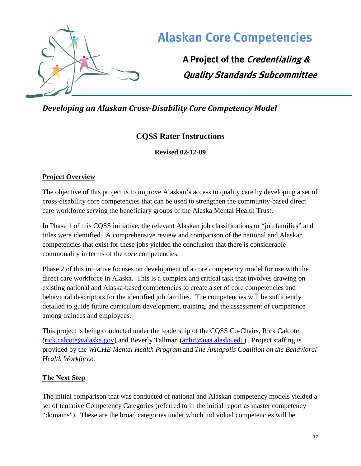

**A Project of the Credentialing & Quality Standards Subcommittee**

<span id="page-17-0"></span>*Developing an Alaskan Cross-Disability Core Competency Model*

### **CQSS Rater Instructions**

**Revised 02-12-09** 

#### **Project Overview**

The objective of this project is to improve Alaskan's access to quality care by developing a set of cross-disability core competencies that can be used to strengthen the community-based direct care workforce serving the beneficiary groups of the Alaska Mental Health Trust.

In Phase 1 of this CQSS initiative, the relevant Alaskan job classifications or "job families" and titles were identified. A comprehensive review and comparison of the national and Alaskan competencies that exist for these jobs yielded the conclusion that there is considerable commonality in terms of the *core* competencies.

Phase 2 of this initiative focuses on development of a core competency model for use with the direct care workforce in Alaska. This is a complex and critical task that involves drawing on existing national and Alaska-based competencies to create a set of core competencies and behavioral descriptors for the identified job families. The competencies will be sufficiently detailed to guide future curriculum development, training, and the assessment of competence among trainees and employees.

This project is being conducted under the leadership of the CQSS Co-Chairs, Rick Calcote [\(rick.calcote@alaska.gov\)](mailto:rick.calcote@alaska.gov) and Beverly Tallman [\(anbit@uaa.alaska.edu\)](mailto:anbit@uaa.alaska.edu). Project staffing is provided by the *WICHE Mental Health Program* and *The Annapolis Coalition on the Behavioral Health Workforce*.

#### **The Next Step**

The initial comparison that was conducted of national and Alaskan competency models yielded a set of tentative Competency Categories (referred to in the initial report as master competency "domains"). These are the broad categories under which individual competencies will be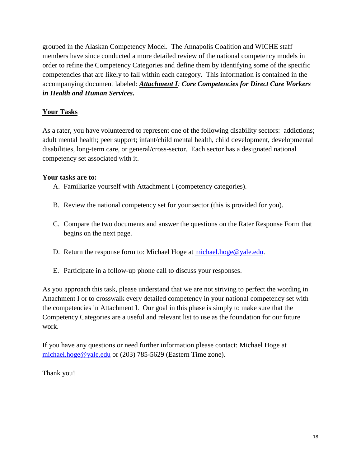grouped in the Alaskan Competency Model. The Annapolis Coalition and WICHE staff members have since conducted a more detailed review of the national competency models in order to refine the Competency Categories and define them by identifying some of the specific competencies that are likely to fall within each category. This information is contained in the accompanying document labeled: *Attachment I: Core Competencies for Direct Care Workers in Health and Human Services***.** 

#### **Your Tasks**

As a rater, you have volunteered to represent one of the following disability sectors: addictions; adult mental health; peer support; infant/child mental health, child development, developmental disabilities, long-term care, or general/cross-sector. Each sector has a designated national competency set associated with it.

#### **Your tasks are to:**

- A. Familiarize yourself with Attachment I (competency categories).
- B. Review the national competency set for your sector (this is provided for you).
- C. Compare the two documents and answer the questions on the Rater Response Form that begins on the next page.
- D. Return the response form to: Michael Hoge at [michael.hoge@yale.edu.](mailto:michael.hoge@yale.edu)
- E. Participate in a follow-up phone call to discuss your responses.

As you approach this task, please understand that we are not striving to perfect the wording in Attachment I or to crosswalk every detailed competency in your national competency set with the competencies in Attachment I. Our goal in this phase is simply to make sure that the Competency Categories are a useful and relevant list to use as the foundation for our future work.

If you have any questions or need further information please contact: Michael Hoge at [michael.hoge@yale.edu](mailto:michael.hoge@yale.edu) or (203) 785-5629 (Eastern Time zone).

Thank you!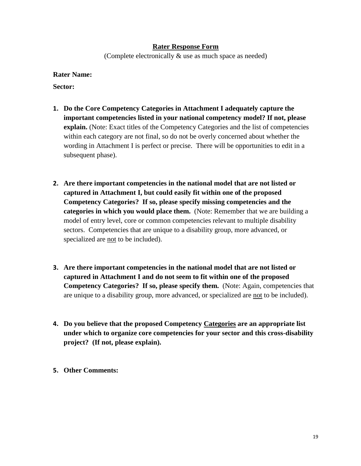#### **Rater Response Form**

(Complete electronically & use as much space as needed)

#### **Rater Name:**

**Sector:** 

- **1. Do the Core Competency Categories in Attachment I adequately capture the important competencies listed in your national competency model? If not, please explain.** (Note: Exact titles of the Competency Categories and the list of competencies within each category are not final, so do not be overly concerned about whether the wording in Attachment I is perfect or precise. There will be opportunities to edit in a subsequent phase).
- **2. Are there important competencies in the national model that are not listed or captured in Attachment I, but could easily fit within one of the proposed Competency Categories? If so, please specify missing competencies and the categories in which you would place them.** (Note: Remember that we are building a model of entry level, core or common competencies relevant to multiple disability sectors. Competencies that are unique to a disability group, more advanced, or specialized are not to be included).
- **3. Are there important competencies in the national model that are not listed or captured in Attachment I and do not seem to fit within one of the proposed Competency Categories? If so, please specify them.** (Note: Again, competencies that are unique to a disability group, more advanced, or specialized are not to be included).
- **4. Do you believe that the proposed Competency Categories are an appropriate list under which to organize core competencies for your sector and this cross-disability project? (If not, please explain).**
- **5. Other Comments:**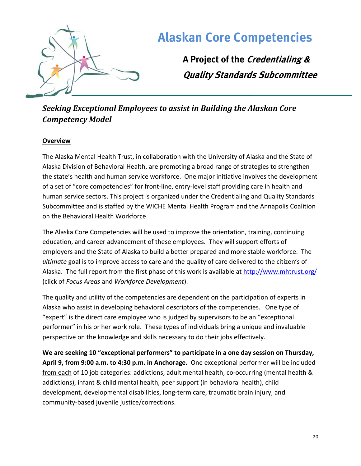

**A Project of the Credentialing & Quality Standards Subcommittee**

### <span id="page-20-0"></span>*Seeking Exceptional Employees to assist in Building the Alaskan Core Competency Model*

#### **Overview**

The Alaska Mental Health Trust, in collaboration with the University of Alaska and the State of Alaska Division of Behavioral Health, are promoting a broad range of strategies to strengthen the state's health and human service workforce. One major initiative involves the development of a set of "core competencies" for front-line, entry-level staff providing care in health and human service sectors. This project is organized under the Credentialing and Quality Standards Subcommittee and is staffed by the WICHE Mental Health Program and the Annapolis Coalition on the Behavioral Health Workforce.

The Alaska Core Competencies will be used to improve the orientation, training, continuing education, and career advancement of these employees. They will support efforts of employers and the State of Alaska to build a better prepared and more stable workforce. The *ultimate* goal is to improve access to care and the quality of care delivered to the citizen's of Alaska. The full report from the first phase of this work is available at<http://www.mhtrust.org/> (click of *Focus Areas* and *Workforce Development*).

The quality and utility of the competencies are dependent on the participation of experts in Alaska who assist in developing behavioral descriptors of the competencies. One type of "expert" is the direct care employee who is judged by supervisors to be an "exceptional performer" in his or her work role. These types of individuals bring a unique and invaluable perspective on the knowledge and skills necessary to do their jobs effectively.

**We are seeking 10 "exceptional performers" to participate in a one day session on Thursday, April 9, from 9:00 a.m. to 4:30 p.m. in Anchorage.** One exceptional performer will be included from each of 10 job categories: addictions, adult mental health, co-occurring (mental health & addictions), infant & child mental health, peer support (in behavioral health), child development, developmental disabilities, long-term care, traumatic brain injury, and community-based juvenile justice/corrections.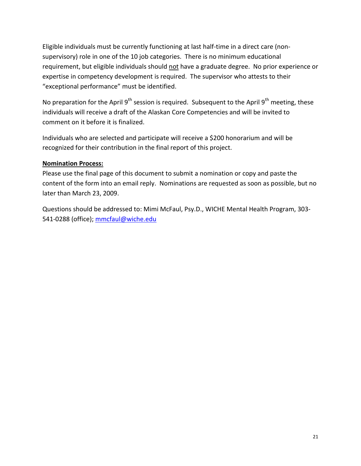Eligible individuals must be currently functioning at last half-time in a direct care (nonsupervisory) role in one of the 10 job categories. There is no minimum educational requirement, but eligible individuals should not have a graduate degree. No prior experience or expertise in competency development is required. The supervisor who attests to their "exceptional performance" must be identified.

No preparation for the April  $9^{th}$  session is required. Subsequent to the April  $9^{th}$  meeting, these individuals will receive a draft of the Alaskan Core Competencies and will be invited to comment on it before it is finalized.

Individuals who are selected and participate will receive a \$200 honorarium and will be recognized for their contribution in the final report of this project.

#### **Nomination Process:**

Please use the final page of this document to submit a nomination or copy and paste the content of the form into an email reply. Nominations are requested as soon as possible, but no later than March 23, 2009.

Questions should be addressed to: Mimi McFaul, Psy.D., WICHE Mental Health Program, 303- 541-0288 (office); [mmcfaul@wiche.edu](mailto:mmcfaul@wiche.edu)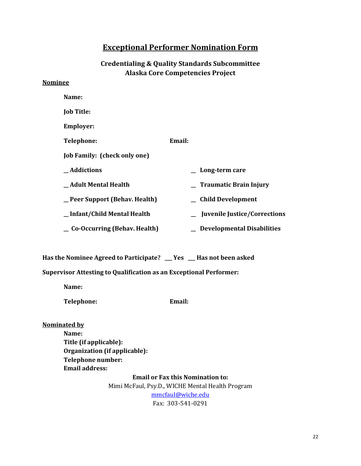#### **Exceptional Performer Nomination Form**

#### **Credentialing & Quality Standards Subcommittee Alaska Core Competencies Project**

#### **Nominee**

| Name:                                 |                                     |
|---------------------------------------|-------------------------------------|
| <b>Job Title:</b>                     |                                     |
| <b>Employer:</b>                      |                                     |
| <b>Telephone:</b>                     | Email:                              |
| Job Family: (check only one)          |                                     |
| _Addictions                           | Long-term care                      |
| Adult Mental Health                   | <b>Traumatic Brain Injury</b>       |
| _Peer Support (Behav. Health)         | <b>Child Development</b>            |
| _Infant/Child Mental Health           | <b>Juvenile Justice/Corrections</b> |
| $\equiv$ Co-Occurring (Behav. Health) | <b>Developmental Disabilities</b>   |

**Has the Nominee Agreed to Participate? \_\_\_ Yes \_\_\_ Has not been asked**

#### **Supervisor Attesting to Qualification as an Exceptional Performer:**

**Name:**

**Telephone: Email:**

**Nominated by**

**Name: Title (if applicable): Organization (if applicable): Telephone number: Email address:**

> **Email or Fax this Nomination to:** Mimi McFaul, Psy.D., WICHE Mental Health Program [mmcfaul@wiche.edu](mailto:mmcfaul@wiche.edu) Fax: 303-541-0291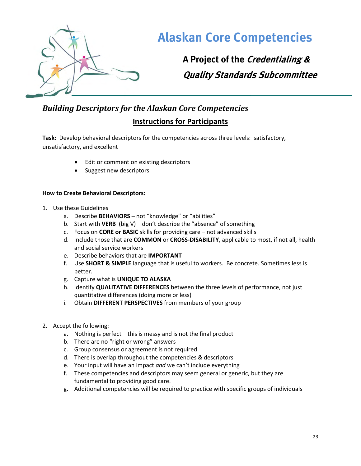

**A Project of the Credentialing & Quality Standards Subcommittee**

### <span id="page-23-0"></span>*Building Descriptors for the Alaskan Core Competencies* **Instructions for Participants**

**Task:** Develop behavioral descriptors for the competencies across three levels: satisfactory, unsatisfactory, and excellent

- Edit or comment on existing descriptors
- Suggest new descriptors

#### **How to Create Behavioral Descriptors:**

- 1. Use these Guidelines
	- a. Describe **BEHAVIORS** not "knowledge" or "abilities"
	- b. Start with **VERB** (big V) don't describe the "absence" of something
	- c. Focus on **CORE or BASIC** skills for providing care not advanced skills
	- d. Include those that are **COMMON** or **CROSS-DISABILITY**, applicable to most, if not all, health and social service workers
	- e. Describe behaviors that are **IMPORTANT**
	- f. Use **SHORT & SIMPLE** language that is useful to workers. Be concrete. Sometimes less is better.
	- g. Capture what is **UNIQUE TO ALASKA**
	- h. Identify **QUALITATIVE DIFFERENCES** between the three levels of performance, not just quantitative differences (doing more or less)
	- i. Obtain **DIFFERENT PERSPECTIVES** from members of your group
- 2. Accept the following:
	- a. Nothing is perfect this is messy and is not the final product
	- b. There are no "right or wrong" answers
	- c. Group consensus or agreement is not required
	- d. There is overlap throughout the competencies & descriptors
	- e. Your input will have an impact *and* we can't include everything
	- f. These competencies and descriptors may seem general or generic, but they are fundamental to providing good care.
	- g. Additional competencies will be required to practice with specific groups of individuals